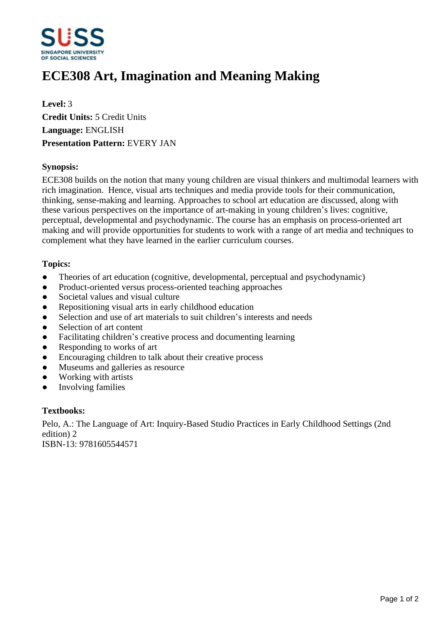

# **ECE308 Art, Imagination and Meaning Making**

**Level:** 3 **Credit Units:** 5 Credit Units **Language:** ENGLISH **Presentation Pattern:** EVERY JAN

#### **Synopsis:**

ECE308 builds on the notion that many young children are visual thinkers and multimodal learners with rich imagination. Hence, visual arts techniques and media provide tools for their communication, thinking, sense-making and learning. Approaches to school art education are discussed, along with these various perspectives on the importance of art-making in young children's lives: cognitive, perceptual, developmental and psychodynamic. The course has an emphasis on process-oriented art making and will provide opportunities for students to work with a range of art media and techniques to complement what they have learned in the earlier curriculum courses.

#### **Topics:**

- Theories of art education (cognitive, developmental, perceptual and psychodynamic)
- Product-oriented versus process-oriented teaching approaches
- Societal values and visual culture
- ƔRepositioning visual arts in early childhood education
- Selection and use of art materials to suit children's interests and needs
- Selection of art content
- Facilitating children's creative process and documenting learning
- ƔResponding to works of art
- Encouraging children to talk about their creative process
- Museums and galleries as resource
- Working with artists
- Involving families

#### **Textbooks:**

Pelo, A.: The Language of Art: Inquiry-Based Studio Practices in Early Childhood Settings (2nd edition) 2 ISBN-13: 9781605544571